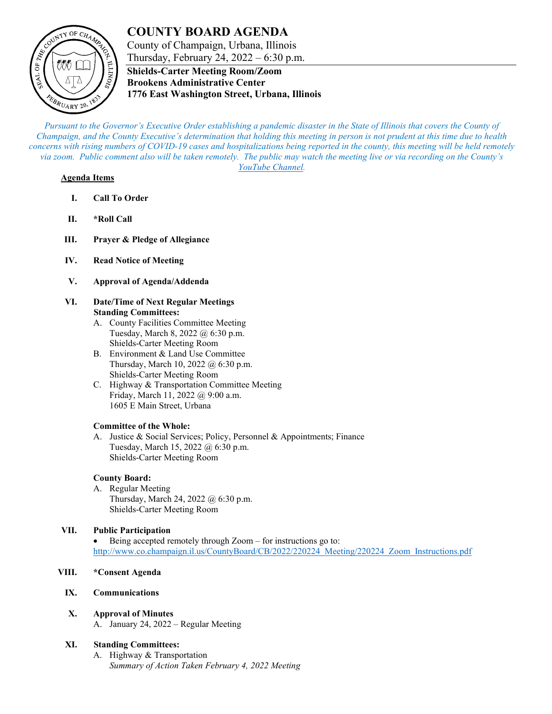# **COUNTY BOARD AGENDA**



County of Champaign, Urbana, Illinois Thursday, February 24, 2022 – 6:30 p.m.

**Shields-Carter Meeting Room/Zoom Brookens Administrative Center 1776 East Washington Street, Urbana, Illinois**

*Pursuant to the Governor's Executive Order establishing a pandemic disaster in the State of Illinois that covers the County of Champaign, and the County Executive's determination that holding this meeting in person is not prudent at this time due to health concerns with rising numbers of COVID-19 cases and hospitalizations being reported in the county, this meeting will be held remotely via zoom. Public comment also will be taken remotely. The public may watch the meeting live or via recording on the County's [YouTube Channel.](https://www.youtube.com/user/ChampaignCountyIL)*

#### **Agenda Items**

- **I. Call To Order**
- **II. \*Roll Call**
- **III. Prayer & Pledge of Allegiance**
- **IV. Read Notice of Meeting**
- **V. Approval of Agenda/Addenda**
- **VI. Date/Time of Next Regular Meetings Standing Committees:**
	- A. County Facilities Committee Meeting Tuesday, March 8, 2022 @ 6:30 p.m. Shields-Carter Meeting Room
	- B. Environment & Land Use Committee Thursday, March 10, 2022 @ 6:30 p.m. Shields-Carter Meeting Room
	- C. Highway & Transportation Committee Meeting Friday, March 11, 2022 @ 9:00 a.m. 1605 E Main Street, Urbana

#### **Committee of the Whole:**

A. Justice & Social Services; Policy, Personnel & Appointments; Finance Tuesday, March 15, 2022 @ 6:30 p.m. Shields-Carter Meeting Room

# **County Board:**

A. Regular Meeting Thursday, March 24, 2022 @ 6:30 p.m. Shields-Carter Meeting Room

# **VII. Public Participation**

Being accepted remotely through Zoom – for instructions go to: [http://www.co.champaign.il.us/CountyBoard/CB/2022/220224\\_Meeting/220224\\_Zoom\\_Instructions.pdf](http://www.co.champaign.il.us/CountyBoard/CB/2022/220224_Meeting/220224_Zoom_Instructions.pdf)

### **VIII. \*Consent Agenda**

- **IX. Communications**
- **X. Approval of Minutes**
	- A. January 24, 2022 Regular Meeting

# **XI. Standing Committees:**

A. Highway & Transportation *Summary of Action Taken February 4, 2022 Meeting*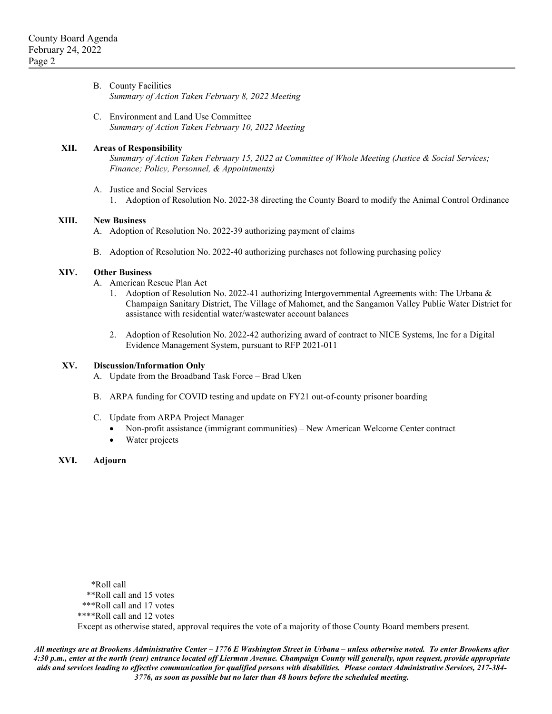| B. County Facilities                             |  |
|--------------------------------------------------|--|
| Summary of Action Taken February 8, 2022 Meeting |  |

C. Environment and Land Use Committee *Summary of Action Taken February 10, 2022 Meeting*

#### **XII. Areas of Responsibility**

*Summary of Action Taken February 15, 2022 at Committee of Whole Meeting (Justice & Social Services; Finance; Policy, Personnel, & Appointments)*

- A. Justice and Social Services
	- 1. Adoption of Resolution No. 2022-38 directing the County Board to modify the Animal Control Ordinance

#### **XIII. New Business**

- A. Adoption of Resolution No. 2022-39 authorizing payment of claims
- B. Adoption of Resolution No. 2022-40 authorizing purchases not following purchasing policy

### **XIV. Other Business**

- A. American Rescue Plan Act
	- 1. Adoption of Resolution No. 2022-41 authorizing Intergovernmental Agreements with: The Urbana & Champaign Sanitary District, The Village of Mahomet, and the Sangamon Valley Public Water District for assistance with residential water/wastewater account balances
	- 2. Adoption of Resolution No. 2022-42 authorizing award of contract to NICE Systems, Inc for a Digital Evidence Management System, pursuant to RFP 2021-011

#### **XV. Discussion/Information Only**

- A. Update from the Broadband Task Force Brad Uken
- B. ARPA funding for COVID testing and update on FY21 out-of-county prisoner boarding
- C. Update from ARPA Project Manager
	- Non-profit assistance (immigrant communities) New American Welcome Center contract
	- Water projects
- **XVI. Adjourn**

 \*Roll call \*\*Roll call and 15 votes \*\*\*Roll call and 17 votes \*\*\*\*Roll call and 12 votes

Except as otherwise stated, approval requires the vote of a majority of those County Board members present.

*All meetings are at Brookens Administrative Center – 1776 E Washington Street in Urbana – unless otherwise noted. To enter Brookens after 4:30 p.m., enter at the north (rear) entrance located off Lierman Avenue. Champaign County will generally, upon request, provide appropriate aids and services leading to effective communication for qualified persons with disabilities. Please contact Administrative Services, 217-384- 3776, as soon as possible but no later than 48 hours before the scheduled meeting.*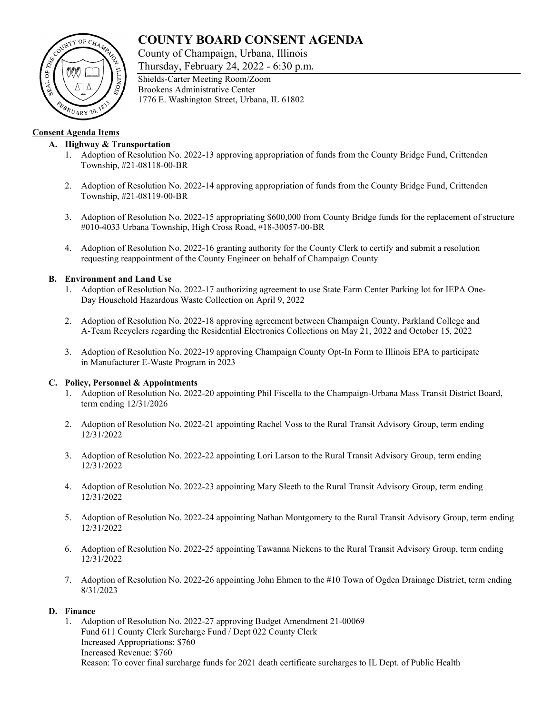# **COUNTY BOARD CONSENT AGENDA**

County of Champaign, Urbana, Illinois

Thursday, February 24, 2022 - 6:30 p.m.



# **Consent Agenda Items**

# **A. Highway & Transportation**

- 1. Adoption of Resolution No. 2022-13 approving appropriation of funds from the County Bridge Fund, Crittenden Township, #21-08118-00-BR
- 2. Adoption of Resolution No. 2022-14 approving appropriation of funds from the County Bridge Fund, Crittenden Township, #21-08119-00-BR
- 3. Adoption of Resolution No. 2022-15 appropriating \$600,000 from County Bridge funds for the replacement of structure #010-4033 Urbana Township, High Cross Road, #18-30057-00-BR
- 4. Adoption of Resolution No. 2022-16 granting authority for the County Clerk to certify and submit a resolution requesting reappointment of the County Engineer on behalf of Champaign County

### **B. Environment and Land Use**

- 1. Adoption of Resolution No. 2022-17 authorizing agreement to use State Farm Center Parking lot for IEPA One-Day Household Hazardous Waste Collection on April 9, 2022
- 2. Adoption of Resolution No. 2022-18 approving agreement between Champaign County, Parkland College and A-Team Recyclers regarding the Residential Electronics Collections on May 21, 2022 and October 15, 2022
- 3. Adoption of Resolution No. 2022-19 approving Champaign County Opt-In Form to Illinois EPA to participate in Manufacturer E-Waste Program in 2023

#### **C. Policy, Personnel & Appointments**

- 1. Adoption of Resolution No. 2022-20 appointing Phil Fiscella to the Champaign-Urbana Mass Transit District Board, term ending 12/31/2026
- 2. Adoption of Resolution No. 2022-21 appointing Rachel Voss to the Rural Transit Advisory Group, term ending 12/31/2022
- 3. Adoption of Resolution No. 2022-22 appointing Lori Larson to the Rural Transit Advisory Group, term ending 12/31/2022
- 4. Adoption of Resolution No. 2022-23 appointing Mary Sleeth to the Rural Transit Advisory Group, term ending 12/31/2022
- 5. Adoption of Resolution No. 2022-24 appointing Nathan Montgomery to the Rural Transit Advisory Group, term ending 12/31/2022
- 6. Adoption of Resolution No. 2022-25 appointing Tawanna Nickens to the Rural Transit Advisory Group, term ending 12/31/2022
- 7. Adoption of Resolution No. 2022-26 appointing John Ehmen to the #10 Town of Ogden Drainage District, term ending 8/31/2023

#### **D. Finance**

1. Adoption of Resolution No. 2022-27 approving Budget Amendment 21-00069 Fund 611 County Clerk Surcharge Fund / Dept 022 County Clerk Increased Appropriations: \$760 Increased Revenue: \$760 Reason: To cover final surcharge funds for 2021 death certificate surcharges to IL Dept. of Public Health

Shields-Carter Meeting Room/Zoom Brookens Administrative Center 1776 E. Washington Street, Urbana, IL 61802